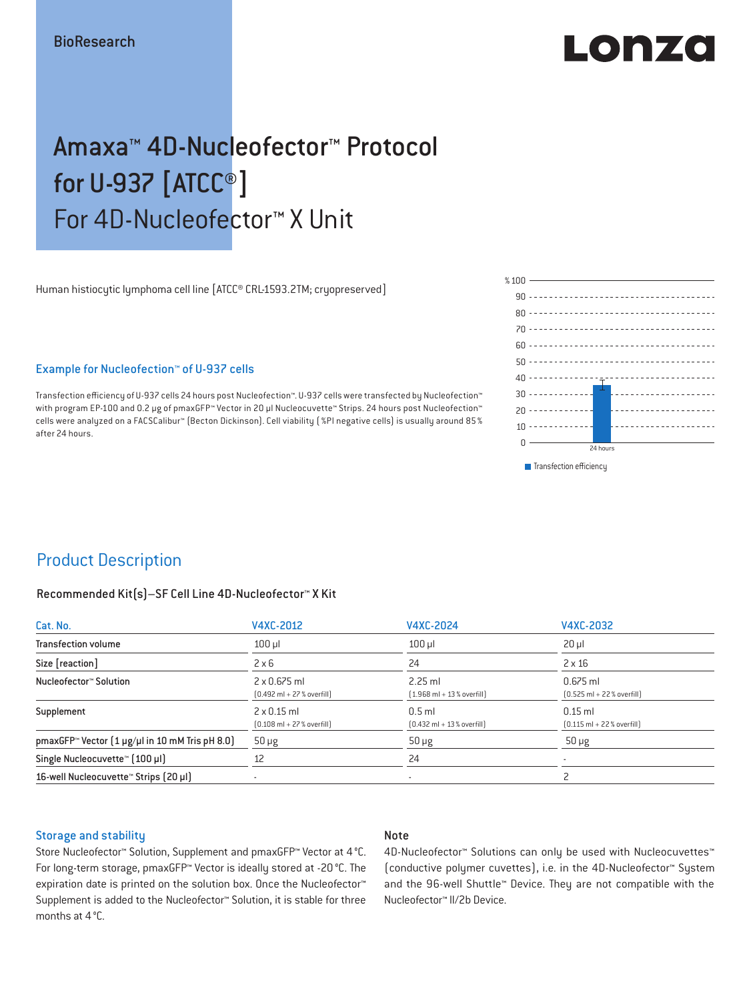# $\blacksquare$  $\blacksquare$

## Amaxa™ 4D-Nucleofector™ Protocol for U-937 [ATCC®] For 4D-Nucleofector™ X Unit

Human histiocytic lymphoma cell line [ATCC® CRL-1593.2TM; cryopreserved]

#### Example for Nucleofection™ of U-937 cells

Transfection efficiency of U-937 cells 24 hours post Nucleofection™. U-937 cells were transfected by Nucleofection™ with program EP-100 and 0.2 μg of pmaxGFP™ Vector in 20 μl Nucleocuvette™ Strips. 24 hours post Nucleofection™ cells were analyzed on a FACSCalibur™ (Becton Dickinson). Cell viability ( %PI negative cells) is usually around 85 % after 24 hours.



### Product Description

#### Recommended Kit(s)–SF Cell Line 4D-Nucleofector™ X Kit

| Cat. No.                                                           | V4XC-2012                                                           | V4XC-2024                                                | V4XC-2032                                                  |  |
|--------------------------------------------------------------------|---------------------------------------------------------------------|----------------------------------------------------------|------------------------------------------------------------|--|
| <b>Transfection volume</b>                                         | $100$ $\mu$                                                         | $100$ $\mu$                                              | $20 \mu$                                                   |  |
| Size [reaction]                                                    | $2 \times 6$                                                        | 24                                                       | $2 \times 16$                                              |  |
| Nucleofector™ Solution                                             | $2 \times 0.675$ ml<br>$[0.492 \text{ ml} + 27 \text{ %} overfill]$ | $2.25$ ml<br>$[1.968 \text{ ml} + 13 % \text{overfill}]$ | $0.675$ ml<br>$[0.525 \text{ ml} + 22 \text{ % overfill}]$ |  |
| Supplement                                                         | $2 \times 0.15$ ml<br>$[0.108 \text{ ml} + 27 \text{ %} overfill]$  | $0.5$ ml<br>$[0.432 \text{ ml} + 13 \text{ %} overfill]$ | $0.15$ ml<br>$[0.115 \text{ ml} + 22 \text{ % overfill}]$  |  |
| pmaxGFP <sup>*</sup> Vector $(1 \mu g/\mu l$ in 10 mM Tris pH 8.0) | $50 \mu g$                                                          | $50 \mu g$                                               | $50 \mu g$                                                 |  |
| Single Nucleocuvette™ [100 µl]                                     | 12                                                                  | 24                                                       |                                                            |  |
| 16-well Nucleocuvette <sup>™</sup> Strips [20 µl]                  | $\overline{\phantom{a}}$                                            | $\sim$                                                   |                                                            |  |

#### Storage and stability

#### Note

Store Nucleofector™ Solution, Supplement and pmaxGFP™ Vector at 4°C. For long-term storage, pmaxGFP™ Vector is ideally stored at -20 °C. The expiration date is printed on the solution box. Once the Nucleofector™ Supplement is added to the Nucleofector™ Solution, it is stable for three months at 4°C.

4D-Nucleofector™ Solutions can only be used with Nucleocuvettes™ (conductive polymer cuvettes), i.e. in the 4D-Nucleofector™ System and the 96-well Shuttle™ Device. They are not compatible with the Nucleofector™ II/2b Device.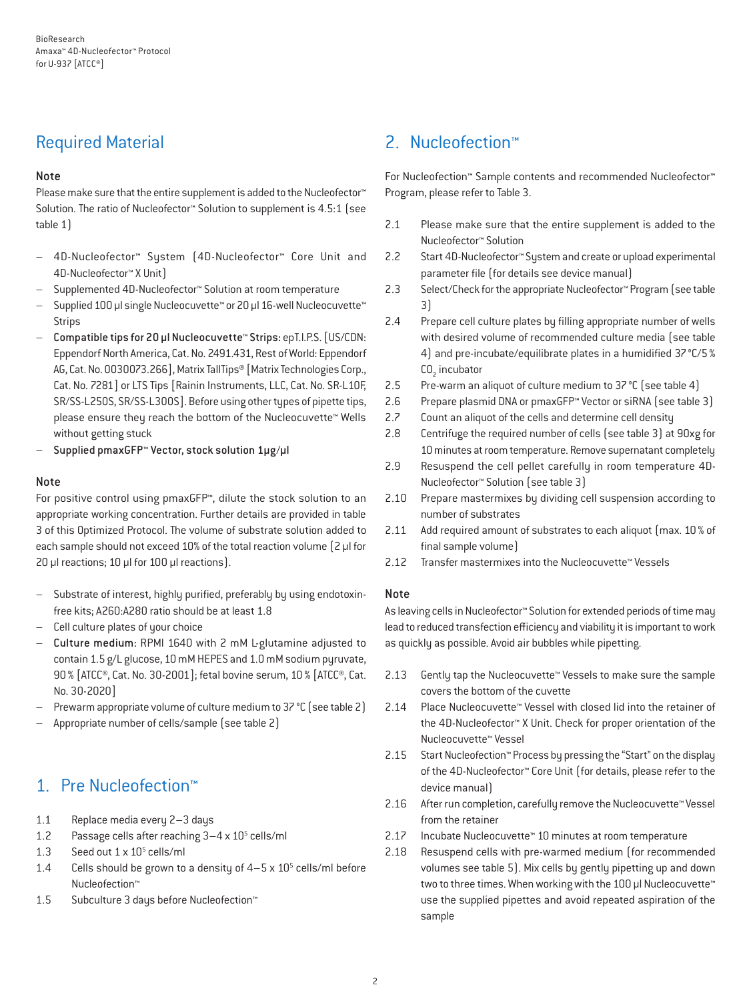## Required Material

#### Note

Please make sure that the entire supplement is added to the Nucleofector<sup>™</sup> Solution. The ratio of Nucleofector™ Solution to supplement is 4.5:1 (see table 1)

- 4D-Nucleofector™ System (4D-Nucleofector™ Core Unit and 4D-Nucleofector™ X Unit)
- Supplemented 4D-Nucleofector™ Solution at room temperature
- Supplied 100 µl single Nucleocuvette™ or 20 µl 16-well Nucleocuvette™ Strips
- Compatible tips for 20 µl Nucleocuvette™ Strips: epT.I.P.S. [US/CDN: Eppendorf North America, Cat. No. 2491.431, Rest of World: Eppendorf AG, Cat. No. 0030073.266], Matrix TallTips® [Matrix Technologies Corp., Cat. No. 7281] or LTS Tips [Rainin Instruments, LLC, Cat. No. SR-L10F, SR/SS-L250S, SR/SS-L300S]. Before using other types of pipette tips, please ensure they reach the bottom of the Nucleocuvette™ Wells without getting stuck
- Supplied pmaxGFP™ Vector, stock solution 1µg/µl

#### Note

For positive control using pmaxGFP™, dilute the stock solution to an appropriate working concentration. Further details are provided in table 3 of this Optimized Protocol. The volume of substrate solution added to each sample should not exceed 10% of the total reaction volume [2 µl for 20 µl reactions; 10 µl for 100 µl reactions).

- Substrate of interest, highly purified, preferably by using endotoxinfree kits; A260:A280 ratio should be at least 1.8
- Cell culture plates of your choice
- Culture medium: RPMI 1640 with 2 mM L-glutamine adjusted to contain 1.5 g/L glucose, 10 mM HEPES and 1.0 mM sodium pyruvate, 90% [ATCC®, Cat. No. 30-2001]; fetal bovine serum, 10 % [ATCC®, Cat. No. 30-2020]
- Prewarm appropriate volume of culture medium to 37 °C (see table 2)
- Appropriate number of cells/sample (see table 2)

## 1. Pre Nucleofection™

- 1.1 Replace media every 2–3 days
- 1.2 Passage cells after reaching  $3-4 \times 10^5$  cells/ml
- 1.3 Seed out  $1 \times 10^5$  cells/ml
- 1.4 Cells should be grown to a density of  $4-5 \times 10^5$  cells/ml before Nucleofection™
- 1.5 Subculture 3 days before Nucleofection™

## 2. Nucleofection™

For Nucleofection™ Sample contents and recommended Nucleofector™ Program, please refer to Table 3.

- 2.1 Please make sure that the entire supplement is added to the Nucleofector™ Solution
- 2.2 Start 4D-Nucleofector™ System and create or upload experimental parameter file (for details see device manual)
- 2.3 Select/Check for the appropriate Nucleofector™ Program (see table 3)
- 2.4 Prepare cell culture plates by filling appropriate number of wells with desired volume of recommended culture media (see table 4) and pre-incubate/equilibrate plates in a humidified 37°C/5%  $CO<sub>2</sub>$  incubator
- 2.5 Pre-warm an aliquot of culture medium to 37 °C (see table 4)
- 2.6 Prepare plasmid DNA or pmaxGFP™ Vector or siRNA (see table 3)
- 2.7 Count an aliquot of the cells and determine cell density
- 2.8 Centrifuge the required number of cells (see table 3) at 90xg for 10 minutes at room temperature. Remove supernatant completely
- 2.9 Resuspend the cell pellet carefully in room temperature 4D-Nucleofector™ Solution (see table 3)
- 2.10 Prepare mastermixes by dividing cell suspension according to number of substrates
- 2.11 Add required amount of substrates to each aliquot (max. 10 % of final sample volume)
- 2.12 Transfer mastermixes into the Nucleocuvette™ Vessels

#### Note

As leaving cells in Nucleofector™ Solution for extended periods of time may lead to reduced transfection efficiency and viability it is important to work as quickly as possible. Avoid air bubbles while pipetting.

- 2.13 Gently tap the Nucleocuvette™ Vessels to make sure the sample covers the bottom of the cuvette
- 2.14 Place Nucleocuvette™ Vessel with closed lid into the retainer of the 4D-Nucleofector™ X Unit. Check for proper orientation of the Nucleocuvette™ Vessel
- 2.15 Start Nucleofection™ Process by pressing the "Start" on the display of the 4D-Nucleofector™ Core Unit (for details, please refer to the device manual)
- 2.16 After run completion, carefully remove the Nucleocuvette™ Vessel from the retainer
- 2.17 Incubate Nucleocuvette™ 10 minutes at room temperature
- 2.18 Resuspend cells with pre-warmed medium (for recommended volumes see table 5). Mix cells by gently pipetting up and down two to three times. When working with the 100 µl Nucleocuvette™ use the supplied pipettes and avoid repeated aspiration of the sample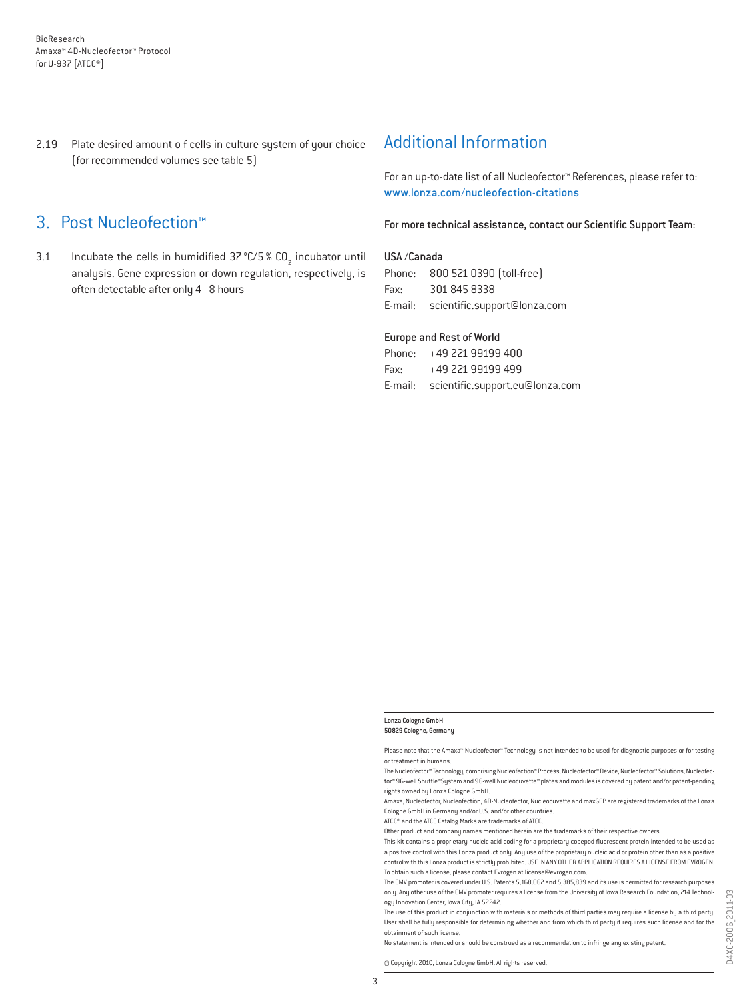3. Post Nucleofection™

2.19 Plate desired amount o f cells in culture system of your choice (for recommended volumes see table 5)

3.1 Incubate the cells in humidified  $37^{\circ}$ C/5 % CO<sub>2</sub> incubator until analysis. Gene expression or down regulation, respectively, is

often detectable after only 4–8 hours

## Additional Information

For an up-to-date list of all Nucleofector™ References, please refer to: www.lonza.com/nucleofection-citations

For more technical assistance, contact our Scientific Support Team:

#### USA /Canada

|      | Phone: 800 521 0390 (toll-free)      |
|------|--------------------------------------|
| Fax: | 301 845 8338                         |
|      | E-mail: scientific.support@lonza.com |

#### Europe and Rest of World

|      | Phone: +49 221 99199 400                |
|------|-----------------------------------------|
| Fax: | +49 221 99199 499                       |
|      | E-mail: scientific.support.eu@lonza.com |

#### Lonza Cologne GmbH 50829 Cologne, Germany

Please note that the Amaxa™ Nucleofector™ Technology is not intended to be used for diagnostic purposes or for testing or treatment in humans.

The Nucleofector™ Technology, comprising Nucleofection™ Process, Nucleofector™ Device, Nucleofector™ Solutions, Nucleofector™ 96-well Shuttle™System and 96-well Nucleocuvette™ plates and modules is covered by patent and/or patent-pending rights owned by Lonza Cologne GmbH.

Amaxa, Nucleofector, Nucleofection, 4D-Nucleofector, Nucleocuvette and maxGFP are registered trademarks of the Lonza Cologne GmbH in Germany and/or U.S. and/or other countries.

ATCC® and the ATCC Catalog Marks are trademarks of ATCC.

Other product and company names mentioned herein are the trademarks of their respective owners.

This kit contains a proprietary nucleic acid coding for a proprietary copepod fluorescent protein intended to be used as a positive control with this Lonza product only. Any use of the proprietary nucleic acid or protein other than as a positive control with this Lonza product is strictly prohibited. USE IN ANY OTHER APPLICATION REQUIRES A LICENSE FROM EVROGEN. To obtain such a license, please contact Evrogen at license@evrogen.com.

The CMV promoter is covered under U.S. Patents 5,168,062 and 5,385,839 and its use is permitted for research purposes only. Any other use of the CMV promoter requires a license from the University of Iowa Research Foundation, 214 Technology Innovation Center, Iowa City, IA 52242.

The use of this product in conjunction with materials or methods of third parties may require a license by a third party. User shall be fully responsible for determining whether and from which third party it requires such license and for the obtainment of such license.

No statement is intended or should be construed as a recommendation to infringe any existing patent.

© Copyright 2010, Lonza Cologne GmbH. All rights reserved.

3